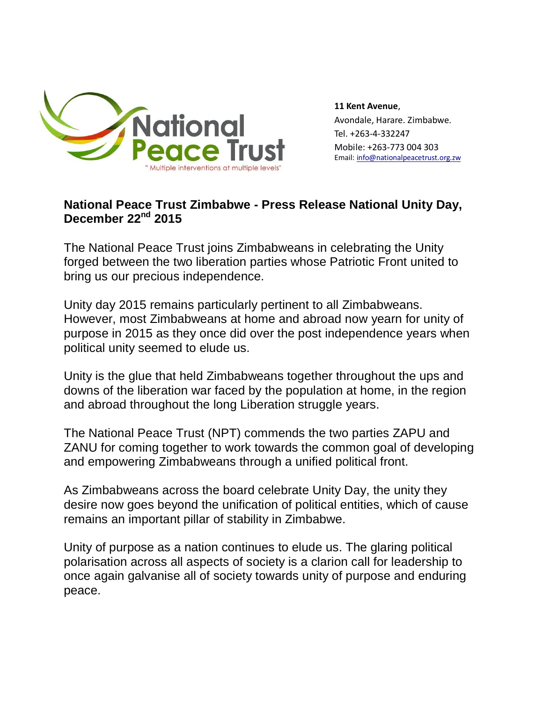

**11 Kent Avenue**, Avondale, Harare. Zimbabwe. Tel. +263-4-332247 Mobile: +263-773 004 303 Email: info@nationalpeacetrust.org.zw

## **National Peace Trust Zimbabwe - Press Release National Unity Day, December 22nd 2015**

The National Peace Trust joins Zimbabweans in celebrating the Unity forged between the two liberation parties whose Patriotic Front united to bring us our precious independence.

Unity day 2015 remains particularly pertinent to all Zimbabweans. However, most Zimbabweans at home and abroad now yearn for unity of purpose in 2015 as they once did over the post independence years when political unity seemed to elude us.

Unity is the glue that held Zimbabweans together throughout the ups and downs of the liberation war faced by the population at home, in the region and abroad throughout the long Liberation struggle years.

The National Peace Trust (NPT) commends the two parties ZAPU and ZANU for coming together to work towards the common goal of developing and empowering Zimbabweans through a unified political front.

As Zimbabweans across the board celebrate Unity Day, the unity they desire now goes beyond the unification of political entities, which of cause remains an important pillar of stability in Zimbabwe.

Unity of purpose as a nation continues to elude us. The glaring political polarisation across all aspects of society is a clarion call for leadership to once again galvanise all of society towards unity of purpose and enduring peace.